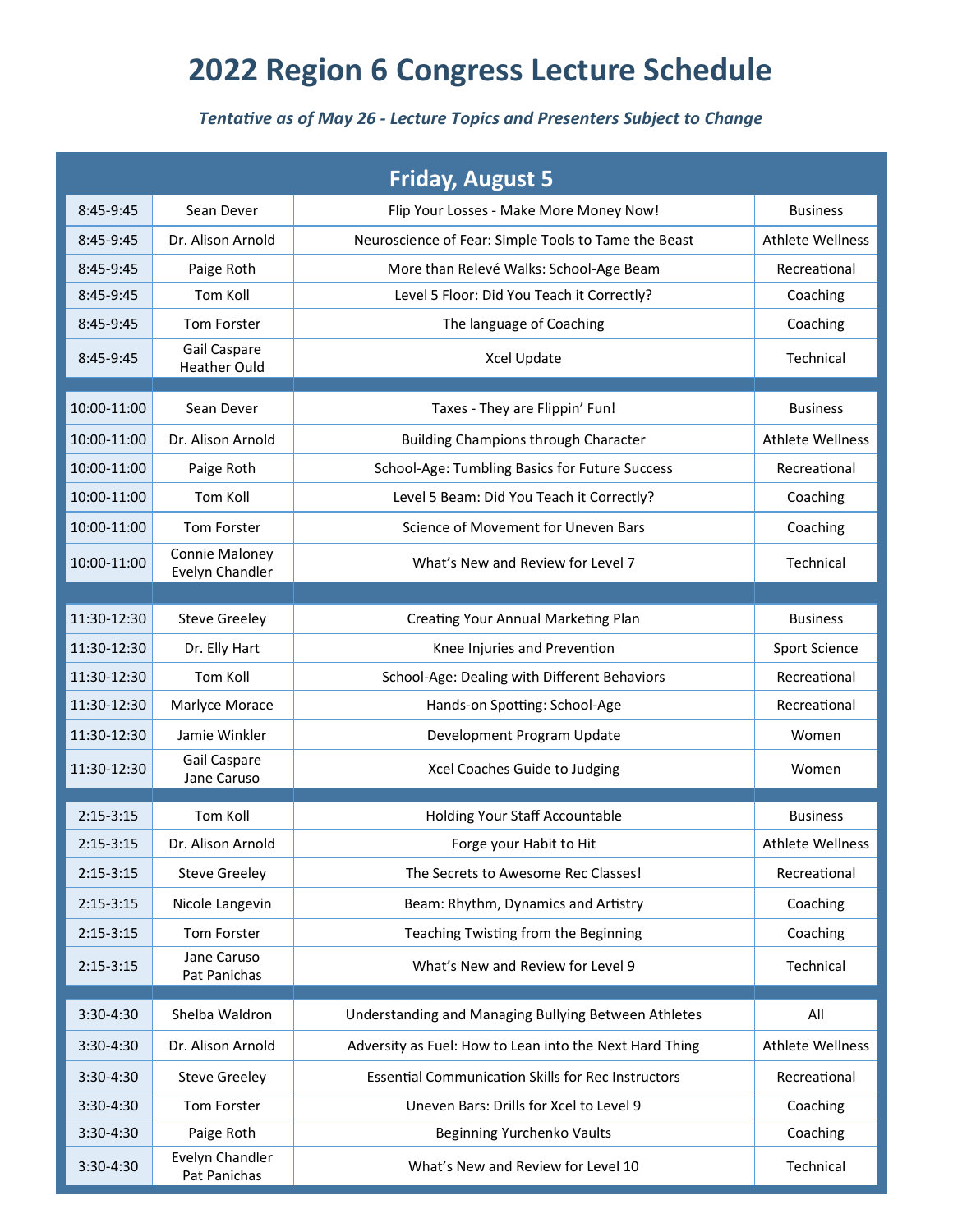## **2022 Region 6 Congress Lecture Schedule**

## *Tentative as of May 26 - Lecture Topics and Presenters Subject to Change*

|               |                                     | <b>Friday, August 5</b>                                   |                         |
|---------------|-------------------------------------|-----------------------------------------------------------|-------------------------|
| 8:45-9:45     | Sean Dever                          | Flip Your Losses - Make More Money Now!                   | <b>Business</b>         |
| 8:45-9:45     | Dr. Alison Arnold                   | Neuroscience of Fear: Simple Tools to Tame the Beast      | <b>Athlete Wellness</b> |
| 8:45-9:45     | Paige Roth                          | More than Relevé Walks: School-Age Beam                   | Recreational            |
| 8:45-9:45     | Tom Koll                            | Level 5 Floor: Did You Teach it Correctly?                | Coaching                |
| 8:45-9:45     | Tom Forster                         | The language of Coaching                                  | Coaching                |
| 8:45-9:45     | Gail Caspare<br><b>Heather Ould</b> | Xcel Update                                               | Technical               |
| 10:00-11:00   | Sean Dever                          | Taxes - They are Flippin' Fun!                            | <b>Business</b>         |
| 10:00-11:00   | Dr. Alison Arnold                   | <b>Building Champions through Character</b>               | <b>Athlete Wellness</b> |
| 10:00-11:00   | Paige Roth                          | School-Age: Tumbling Basics for Future Success            | Recreational            |
| 10:00-11:00   | Tom Koll                            | Level 5 Beam: Did You Teach it Correctly?                 | Coaching                |
| 10:00-11:00   | <b>Tom Forster</b>                  | Science of Movement for Uneven Bars                       | Coaching                |
| 10:00-11:00   | Connie Maloney<br>Evelyn Chandler   | What's New and Review for Level 7                         | Technical               |
|               |                                     |                                                           |                         |
| 11:30-12:30   | <b>Steve Greeley</b>                | Creating Your Annual Marketing Plan                       | <b>Business</b>         |
| 11:30-12:30   | Dr. Elly Hart                       | Knee Injuries and Prevention                              | Sport Science           |
| 11:30-12:30   | Tom Koll                            | School-Age: Dealing with Different Behaviors              | Recreational            |
| 11:30-12:30   | Marlyce Morace                      | Hands-on Spotting: School-Age                             | Recreational            |
| 11:30-12:30   | Jamie Winkler                       | Development Program Update                                | Women                   |
| 11:30-12:30   | Gail Caspare<br>Jane Caruso         | Xcel Coaches Guide to Judging                             | Women                   |
| $2:15 - 3:15$ | Tom Koll                            | <b>Holding Your Staff Accountable</b>                     | <b>Business</b>         |
| $2:15-3:15$   | Dr. Alison Arnold                   | Forge your Habit to Hit                                   | <b>Athlete Wellness</b> |
| $2:15-3:15$   | <b>Steve Greeley</b>                | The Secrets to Awesome Rec Classes!                       | Recreational            |
| $2:15-3:15$   | Nicole Langevin                     | Beam: Rhythm, Dynamics and Artistry                       | Coaching                |
| $2:15 - 3:15$ | Tom Forster                         | Teaching Twisting from the Beginning                      | Coaching                |
| $2:15 - 3:15$ | Jane Caruso<br>Pat Panichas         | What's New and Review for Level 9                         | Technical               |
| 3:30-4:30     | Shelba Waldron                      | Understanding and Managing Bullying Between Athletes      | All                     |
| 3:30-4:30     | Dr. Alison Arnold                   | Adversity as Fuel: How to Lean into the Next Hard Thing   | <b>Athlete Wellness</b> |
| 3:30-4:30     | <b>Steve Greeley</b>                | <b>Essential Communication Skills for Rec Instructors</b> | Recreational            |
| 3:30-4:30     | Tom Forster                         | Uneven Bars: Drills for Xcel to Level 9                   | Coaching                |
| 3:30-4:30     | Paige Roth                          | Beginning Yurchenko Vaults                                | Coaching                |
| 3:30-4:30     | Evelyn Chandler<br>Pat Panichas     | What's New and Review for Level 10                        | Technical               |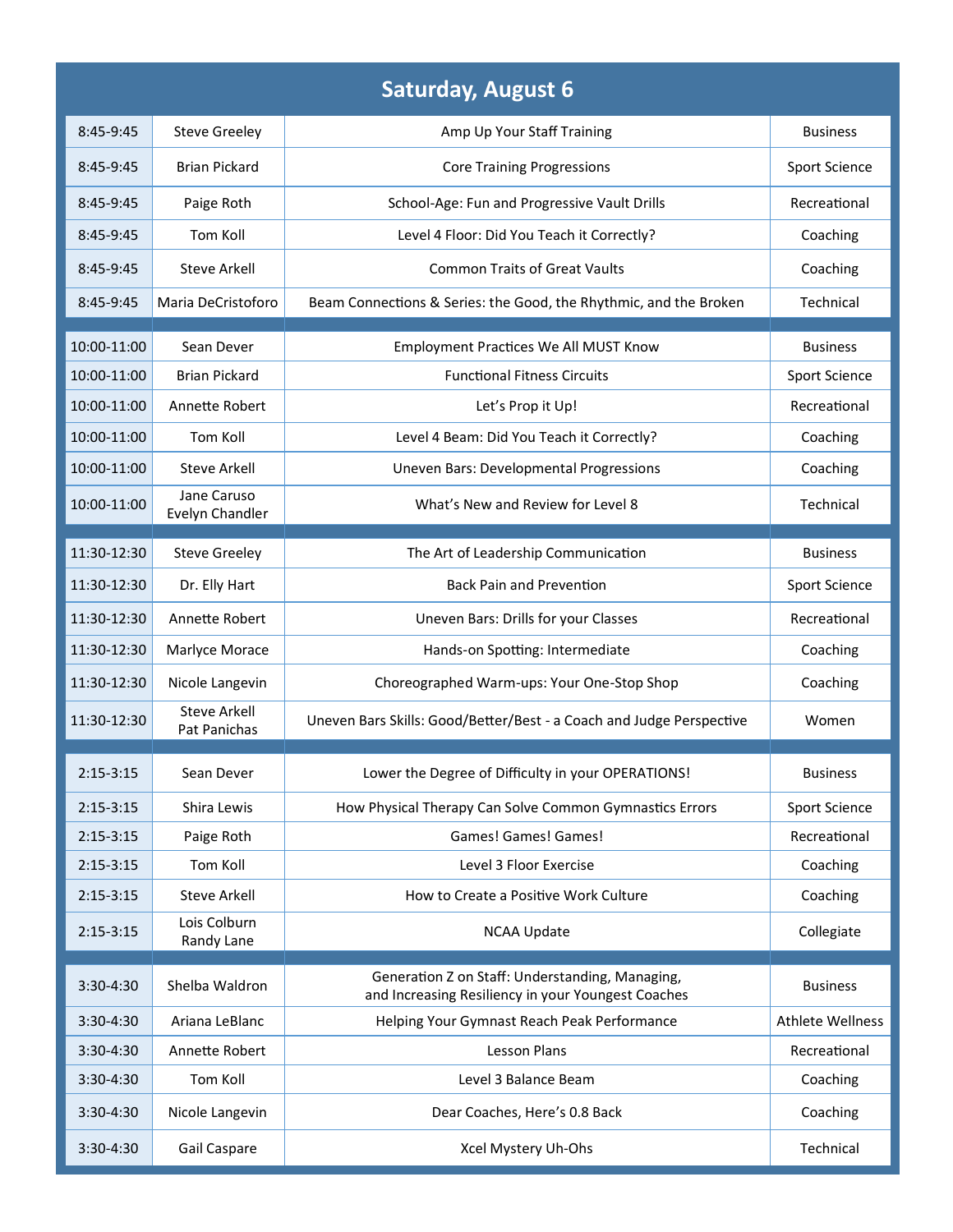| <b>Saturday, August 6</b> |                                     |                                                                                                       |                         |  |  |  |  |
|---------------------------|-------------------------------------|-------------------------------------------------------------------------------------------------------|-------------------------|--|--|--|--|
| $8:45-9:45$               | <b>Steve Greeley</b>                | Amp Up Your Staff Training                                                                            | <b>Business</b>         |  |  |  |  |
| 8:45-9:45                 | <b>Brian Pickard</b>                | <b>Core Training Progressions</b>                                                                     | Sport Science           |  |  |  |  |
| 8:45-9:45                 | Paige Roth                          | School-Age: Fun and Progressive Vault Drills                                                          | Recreational            |  |  |  |  |
| 8:45-9:45                 | Tom Koll                            | Level 4 Floor: Did You Teach it Correctly?                                                            | Coaching                |  |  |  |  |
| 8:45-9:45                 | <b>Steve Arkell</b>                 | <b>Common Traits of Great Vaults</b>                                                                  | Coaching                |  |  |  |  |
| 8:45-9:45                 | Maria DeCristoforo                  | Beam Connections & Series: the Good, the Rhythmic, and the Broken                                     | Technical               |  |  |  |  |
| 10:00-11:00               | Sean Dever                          | <b>Employment Practices We All MUST Know</b>                                                          | <b>Business</b>         |  |  |  |  |
| 10:00-11:00               | <b>Brian Pickard</b>                | <b>Functional Fitness Circuits</b>                                                                    | Sport Science           |  |  |  |  |
| 10:00-11:00               | Annette Robert                      | Let's Prop it Up!                                                                                     | Recreational            |  |  |  |  |
| 10:00-11:00               | Tom Koll                            | Level 4 Beam: Did You Teach it Correctly?                                                             | Coaching                |  |  |  |  |
| 10:00-11:00               | <b>Steve Arkell</b>                 | <b>Uneven Bars: Developmental Progressions</b>                                                        | Coaching                |  |  |  |  |
| 10:00-11:00               | Jane Caruso<br>Evelyn Chandler      | What's New and Review for Level 8                                                                     | Technical               |  |  |  |  |
| 11:30-12:30               | <b>Steve Greeley</b>                | The Art of Leadership Communication                                                                   | <b>Business</b>         |  |  |  |  |
| 11:30-12:30               | Dr. Elly Hart                       | <b>Back Pain and Prevention</b>                                                                       | Sport Science           |  |  |  |  |
| 11:30-12:30               | Annette Robert                      | Uneven Bars: Drills for your Classes                                                                  | Recreational            |  |  |  |  |
| 11:30-12:30               | Marlyce Morace                      | Hands-on Spotting: Intermediate                                                                       | Coaching                |  |  |  |  |
| 11:30-12:30               | Nicole Langevin                     | Choreographed Warm-ups: Your One-Stop Shop                                                            | Coaching                |  |  |  |  |
| 11:30-12:30               | <b>Steve Arkell</b><br>Pat Panichas | Uneven Bars Skills: Good/Better/Best - a Coach and Judge Perspective                                  | Women                   |  |  |  |  |
| $2:15-3:15$               | Sean Dever                          | Lower the Degree of Difficulty in your OPERATIONS!                                                    | <b>Business</b>         |  |  |  |  |
| $2:15-3:15$               | Shira Lewis                         | How Physical Therapy Can Solve Common Gymnastics Errors                                               | Sport Science           |  |  |  |  |
| $2:15-3:15$               | Paige Roth                          | Games! Games! Games!                                                                                  | Recreational            |  |  |  |  |
| $2:15-3:15$               | Tom Koll                            | Level 3 Floor Exercise                                                                                | Coaching                |  |  |  |  |
| $2:15-3:15$               | <b>Steve Arkell</b>                 | How to Create a Positive Work Culture                                                                 | Coaching                |  |  |  |  |
| $2:15-3:15$               | Lois Colburn<br>Randy Lane          | <b>NCAA Update</b>                                                                                    | Collegiate              |  |  |  |  |
| 3:30-4:30                 | Shelba Waldron                      | Generation Z on Staff: Understanding, Managing,<br>and Increasing Resiliency in your Youngest Coaches | <b>Business</b>         |  |  |  |  |
| 3:30-4:30                 | Ariana LeBlanc                      | Helping Your Gymnast Reach Peak Performance                                                           | <b>Athlete Wellness</b> |  |  |  |  |
| 3:30-4:30                 | Annette Robert                      | <b>Lesson Plans</b>                                                                                   | Recreational            |  |  |  |  |
| 3:30-4:30                 | Tom Koll                            | Level 3 Balance Beam                                                                                  | Coaching                |  |  |  |  |
| $3:30-4:30$               | Nicole Langevin                     | Dear Coaches, Here's 0.8 Back                                                                         | Coaching                |  |  |  |  |
| 3:30-4:30                 | Gail Caspare                        | Xcel Mystery Uh-Ohs                                                                                   | Technical               |  |  |  |  |